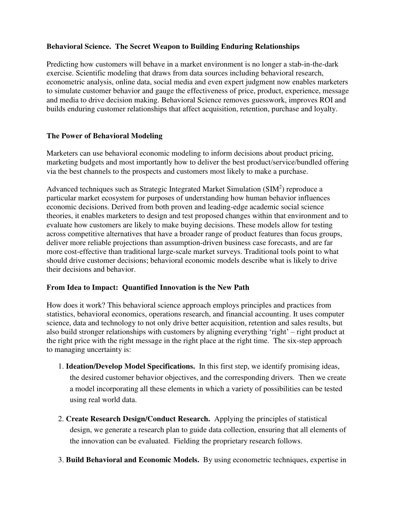## **Behavioral Science. The Secret Weapon to Building Enduring Relationships**

Predicting how customers will behave in a market environment is no longer a stab-in-the-dark exercise. Scientific modeling that draws from data sources including behavioral research, econometric analysis, online data, social media and even expert judgment now enables marketers to simulate customer behavior and gauge the effectiveness of price, product, experience, message and media to drive decision making. Behavioral Science removes guesswork, improves ROI and builds enduring customer relationships that affect acquisition, retention, purchase and loyalty.

## **The Power of Behavioral Modeling**

Marketers can use behavioral economic modeling to inform decisions about product pricing, marketing budgets and most importantly how to deliver the best product/service/bundled offering via the best channels to the prospects and customers most likely to make a purchase.

Advanced techniques such as Strategic Integrated Market Simulation  $(SIM<sup>2</sup>)$  reproduce a particular market ecosystem for purposes of understanding how human behavior influences economic decisions. Derived from both proven and leading-edge academic social science theories, it enables marketers to design and test proposed changes within that environment and to evaluate how customers are likely to make buying decisions. These models allow for testing across competitive alternatives that have a broader range of product features than focus groups, deliver more reliable projections than assumption-driven business case forecasts, and are far more cost-effective than traditional large-scale market surveys. Traditional tools point to what should drive customer decisions; behavioral economic models describe what is likely to drive their decisions and behavior.

## **From Idea to Impact: Quantified Innovation is the New Path**

How does it work? This behavioral science approach employs principles and practices from statistics, behavioral economics, operations research, and financial accounting. It uses computer science, data and technology to not only drive better acquisition, retention and sales results, but also build stronger relationships with customers by aligning everything 'right' – right product at the right price with the right message in the right place at the right time. The six-step approach to managing uncertainty is:

- 1. **Ideation/Develop Model Specifications.** In this first step, we identify promising ideas, the desired customer behavior objectives, and the corresponding drivers. Then we create a model incorporating all these elements in which a variety of possibilities can be tested using real world data.
- 2. **Create Research Design/Conduct Research.** Applying the principles of statistical design, we generate a research plan to guide data collection, ensuring that all elements of the innovation can be evaluated. Fielding the proprietary research follows.
- 3. **Build Behavioral and Economic Models.** By using econometric techniques, expertise in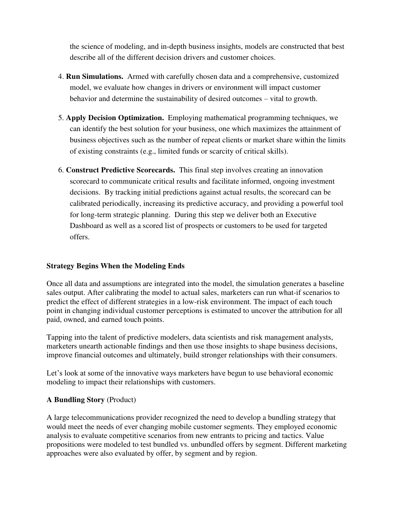the science of modeling, and in-depth business insights, models are constructed that best describe all of the different decision drivers and customer choices.

- 4. **Run Simulations.** Armed with carefully chosen data and a comprehensive, customized model, we evaluate how changes in drivers or environment will impact customer behavior and determine the sustainability of desired outcomes – vital to growth.
- 5. **Apply Decision Optimization.** Employing mathematical programming techniques, we can identify the best solution for your business, one which maximizes the attainment of business objectives such as the number of repeat clients or market share within the limits of existing constraints (e.g., limited funds or scarcity of critical skills).
- 6. **Construct Predictive Scorecards.** This final step involves creating an innovation scorecard to communicate critical results and facilitate informed, ongoing investment decisions. By tracking initial predictions against actual results, the scorecard can be calibrated periodically, increasing its predictive accuracy, and providing a powerful tool for long-term strategic planning. During this step we deliver both an Executive Dashboard as well as a scored list of prospects or customers to be used for targeted offers.

## **Strategy Begins When the Modeling Ends**

Once all data and assumptions are integrated into the model, the simulation generates a baseline sales output. After calibrating the model to actual sales, marketers can run what-if scenarios to predict the effect of different strategies in a low-risk environment. The impact of each touch point in changing individual customer perceptions is estimated to uncover the attribution for all paid, owned, and earned touch points.

Tapping into the talent of predictive modelers, data scientists and risk management analysts, marketers unearth actionable findings and then use those insights to shape business decisions, improve financial outcomes and ultimately, build stronger relationships with their consumers.

Let's look at some of the innovative ways marketers have begun to use behavioral economic modeling to impact their relationships with customers.

## **A Bundling Story** (Product)

A large telecommunications provider recognized the need to develop a bundling strategy that would meet the needs of ever changing mobile customer segments. They employed economic analysis to evaluate competitive scenarios from new entrants to pricing and tactics. Value propositions were modeled to test bundled vs. unbundled offers by segment. Different marketing approaches were also evaluated by offer, by segment and by region.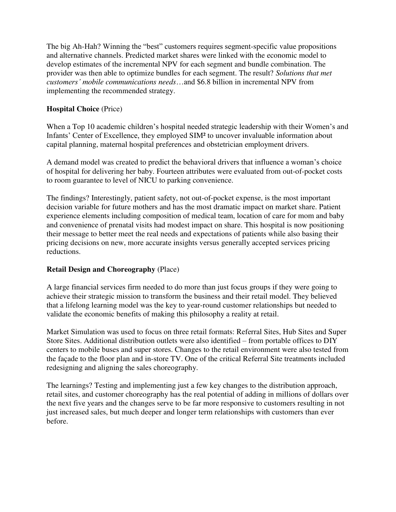The big Ah-Hah? Winning the "best" customers requires segment-specific value propositions and alternative channels. Predicted market shares were linked with the economic model to develop estimates of the incremental NPV for each segment and bundle combination. The provider was then able to optimize bundles for each segment. The result? *Solutions that met customers' mobile communications needs*…and \$6.8 billion in incremental NPV from implementing the recommended strategy.

# **Hospital Choice** (Price)

When a Top 10 academic children's hospital needed strategic leadership with their Women's and Infants' Center of Excellence, they employed SIM² to uncover invaluable information about capital planning, maternal hospital preferences and obstetrician employment drivers.

A demand model was created to predict the behavioral drivers that influence a woman's choice of hospital for delivering her baby. Fourteen attributes were evaluated from out-of-pocket costs to room guarantee to level of NICU to parking convenience.

The findings? Interestingly, patient safety, not out-of-pocket expense, is the most important decision variable for future mothers and has the most dramatic impact on market share. Patient experience elements including composition of medical team, location of care for mom and baby and convenience of prenatal visits had modest impact on share. This hospital is now positioning their message to better meet the real needs and expectations of patients while also basing their pricing decisions on new, more accurate insights versus generally accepted services pricing reductions.

## **Retail Design and Choreography** (Place)

A large financial services firm needed to do more than just focus groups if they were going to achieve their strategic mission to transform the business and their retail model. They believed that a lifelong learning model was the key to year-round customer relationships but needed to validate the economic benefits of making this philosophy a reality at retail.

Market Simulation was used to focus on three retail formats: Referral Sites, Hub Sites and Super Store Sites. Additional distribution outlets were also identified – from portable offices to DIY centers to mobile buses and super stores. Changes to the retail environment were also tested from the façade to the floor plan and in-store TV. One of the critical Referral Site treatments included redesigning and aligning the sales choreography.

The learnings? Testing and implementing just a few key changes to the distribution approach, retail sites, and customer choreography has the real potential of adding in millions of dollars over the next five years and the changes serve to be far more responsive to customers resulting in not just increased sales, but much deeper and longer term relationships with customers than ever before.